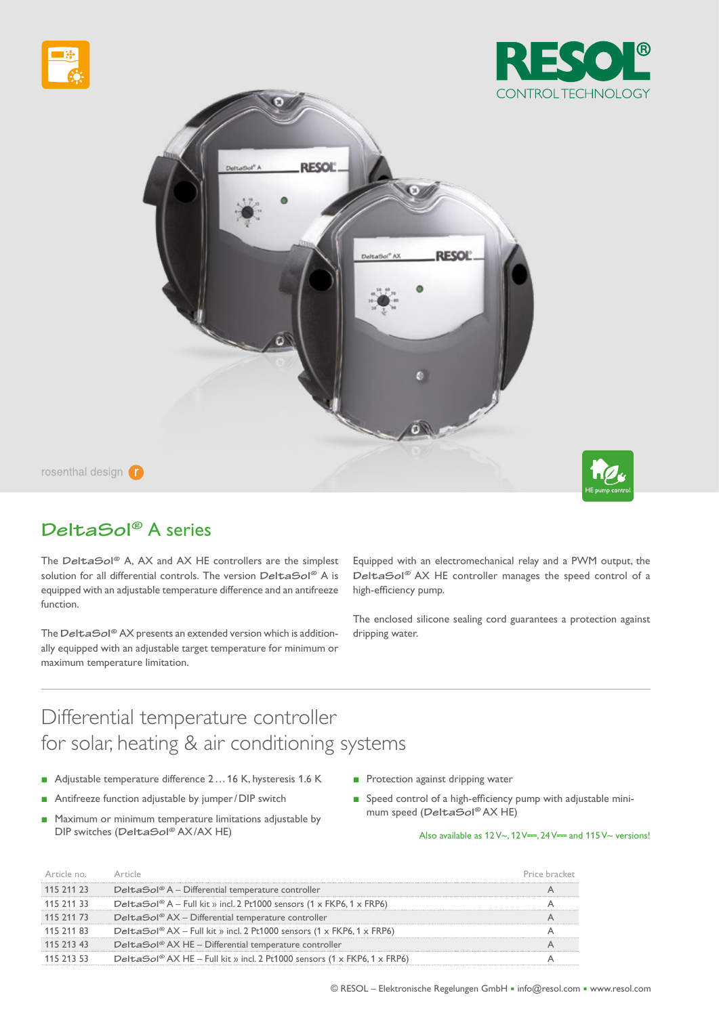







# **DeltaSol®** A series

The **DeltaSol®** A, AX and AX HE controllers are the simplest solution for all differential controls. The version **DeltaSol®** A is equipped with an adjustable temperature difference and an antifreeze function.

The **DeltaSol®** AX presents an extended version which is additionally equipped with an adjustable target temperature for minimum or maximum temperature limitation.

Equipped with an electromechanical relay and a PWM output, the **DeltaSol®** AX HE controller manages the speed control of a high-efficiency pump.

The enclosed silicone sealing cord guarantees a protection against dripping water.

# Differential temperature controller for solar, heating & air conditioning systems

- Adjustable temperature difference 2... 16 K, hysteresis 1.6 K
- Antifreeze function adjustable by jumper/DIP switch
- Maximum or minimum temperature limitations adjustable by DIP switches (**DeltaSol®** AX/AX HE)
- Protection against dripping water
- Speed control of a high-efficiency pump with adjustable minimum speed (**DeltaSol®** AX HE)

## Also available as  $12V \sim$ ,  $12V =$ ,  $24V =$  and  $115V \sim$  versions!

| 115 211 23 | Delta $Sol^{\circledcirc}$ A – Differential temperature controller       |  |
|------------|--------------------------------------------------------------------------|--|
| 115 211 33 | DeltaSol® A – Full kit » incl. 2 Pt1000 sensors (1 x FKP6. 1 x FRP6)     |  |
| 115 211 73 | DeltaSol® AX – Differential temperature controller                       |  |
| 115 211 83 | DeltaSol® AX – Full kit » incl. 2 Pt1000 sensors (1 x FKP6, 1 x FRP6)    |  |
| 115 213 43 | DeltaSol® AX HE - Differential temperature controller                    |  |
| 115 713 53 | DeltaSol® AX HE – Full kit » incl. 2 Pt1000 sensors (1 x FKP6, 1 x FRP6) |  |